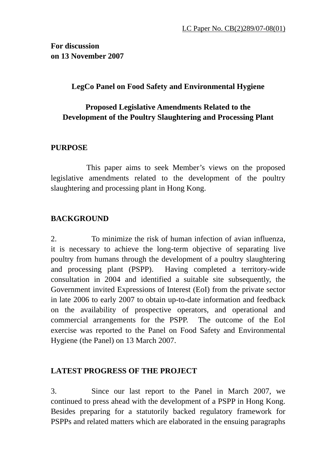**For discussion on 13 November 2007** 

## **LegCo Panel on Food Safety and Environmental Hygiene**

# **Proposed Legislative Amendments Related to the Development of the Poultry Slaughtering and Processing Plant**

### **PURPOSE**

 This paper aims to seek Member's views on the proposed legislative amendments related to the development of the poultry slaughtering and processing plant in Hong Kong.

# **BACKGROUND**

2. To minimize the risk of human infection of avian influenza, it is necessary to achieve the long-term objective of separating live poultry from humans through the development of a poultry slaughtering and processing plant (PSPP). Having completed a territory-wide consultation in 2004 and identified a suitable site subsequently, the Government invited Expressions of Interest (EoI) from the private sector in late 2006 to early 2007 to obtain up-to-date information and feedback on the availability of prospective operators, and operational and commercial arrangements for the PSPP. The outcome of the EoI exercise was reported to the Panel on Food Safety and Environmental Hygiene (the Panel) on 13 March 2007.

### **LATEST PROGRESS OF THE PROJECT**

3. Since our last report to the Panel in March 2007, we continued to press ahead with the development of a PSPP in Hong Kong. Besides preparing for a statutorily backed regulatory framework for PSPPs and related matters which are elaborated in the ensuing paragraphs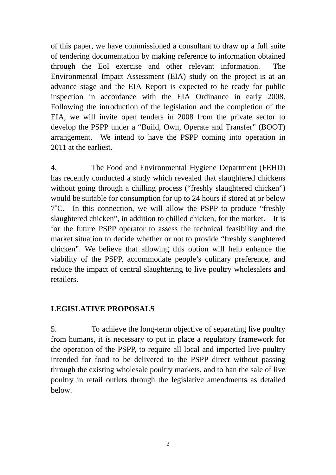of this paper, we have commissioned a consultant to draw up a full suite of tendering documentation by making reference to information obtained through the EoI exercise and other relevant information. The Environmental Impact Assessment (EIA) study on the project is at an advance stage and the EIA Report is expected to be ready for public inspection in accordance with the EIA Ordinance in early 2008. Following the introduction of the legislation and the completion of the EIA, we will invite open tenders in 2008 from the private sector to develop the PSPP under a "Build, Own, Operate and Transfer" (BOOT) arrangement. We intend to have the PSPP coming into operation in 2011 at the earliest.

4. The Food and Environmental Hygiene Department (FEHD) has recently conducted a study which revealed that slaughtered chickens without going through a chilling process ("freshly slaughtered chicken") would be suitable for consumption for up to 24 hours if stored at or below  $7^{\circ}$ C. In this connection, we will allow the PSPP to produce "freshly slaughtered chicken", in addition to chilled chicken, for the market. It is for the future PSPP operator to assess the technical feasibility and the market situation to decide whether or not to provide "freshly slaughtered chicken". We believe that allowing this option will help enhance the viability of the PSPP, accommodate people's culinary preference, and reduce the impact of central slaughtering to live poultry wholesalers and retailers.

# **LEGISLATIVE PROPOSALS**

5. To achieve the long-term objective of separating live poultry from humans, it is necessary to put in place a regulatory framework for the operation of the PSPP, to require all local and imported live poultry intended for food to be delivered to the PSPP direct without passing through the existing wholesale poultry markets, and to ban the sale of live poultry in retail outlets through the legislative amendments as detailed below.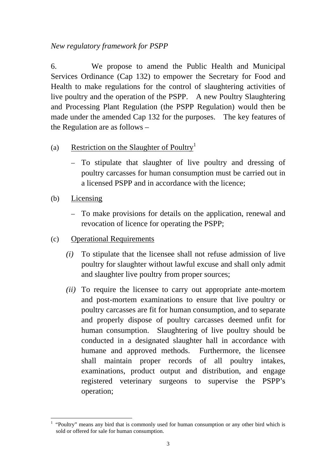# *New regulatory framework for PSPP*

6. We propose to amend the Public Health and Municipal Services Ordinance (Cap 132) to empower the Secretary for Food and Health to make regulations for the control of slaughtering activities of live poultry and the operation of the PSPP. A new Poultry Slaughtering and Processing Plant Regulation (the PSPP Regulation) would then be made under the amended Cap 132 for the purposes. The key features of the Regulation are as follows –

## (a) Restriction on the Slaughter of Poultry<sup>1</sup>

- To stipulate that slaughter of live poultry and dressing of poultry carcasses for human consumption must be carried out in a licensed PSPP and in accordance with the licence;
- (b) Licensing
	- To make provisions for details on the application, renewal and revocation of licence for operating the PSPP;
- (c) Operational Requirements
	- *(i)* To stipulate that the licensee shall not refuse admission of live poultry for slaughter without lawful excuse and shall only admit and slaughter live poultry from proper sources;
	- *(ii)* To require the licensee to carry out appropriate ante-mortem and post-mortem examinations to ensure that live poultry or poultry carcasses are fit for human consumption, and to separate and properly dispose of poultry carcasses deemed unfit for human consumption. Slaughtering of live poultry should be conducted in a designated slaughter hall in accordance with humane and approved methods. Furthermore, the licensee shall maintain proper records of all poultry intakes, examinations, product output and distribution, and engage registered veterinary surgeons to supervise the PSPP's operation;

 $\overline{a}$  $<sup>1</sup>$  "Poultry" means any bird that is commonly used for human consumption or any other bird which is</sup> sold or offered for sale for human consumption.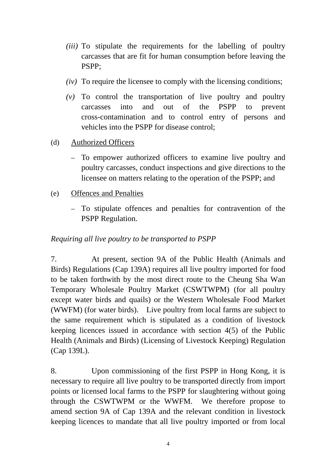- *(iii)* To stipulate the requirements for the labelling of poultry carcasses that are fit for human consumption before leaving the PSPP;
- *(iv)* To require the licensee to comply with the licensing conditions;
- *(v)* To control the transportation of live poultry and poultry carcasses into and out of the PSPP to prevent cross-contamination and to control entry of persons and vehicles into the PSPP for disease control;
- (d) Authorized Officers
	- To empower authorized officers to examine live poultry and poultry carcasses, conduct inspections and give directions to the licensee on matters relating to the operation of the PSPP; and
- (e) Offences and Penalties
	- To stipulate offences and penalties for contravention of the PSPP Regulation.

## *Requiring all live poultry to be transported to PSPP*

7. At present, section 9A of the Public Health (Animals and Birds) Regulations (Cap 139A) requires all live poultry imported for food to be taken forthwith by the most direct route to the Cheung Sha Wan Temporary Wholesale Poultry Market (CSWTWPM) (for all poultry except water birds and quails) or the Western Wholesale Food Market (WWFM) (for water birds). Live poultry from local farms are subject to the same requirement which is stipulated as a condition of livestock keeping licences issued in accordance with section 4(5) of the Public Health (Animals and Birds) (Licensing of Livestock Keeping) Regulation (Cap 139L).

8. Upon commissioning of the first PSPP in Hong Kong, it is necessary to require all live poultry to be transported directly from import points or licensed local farms to the PSPP for slaughtering without going through the CSWTWPM or the WWFM. We therefore propose to amend section 9A of Cap 139A and the relevant condition in livestock keeping licences to mandate that all live poultry imported or from local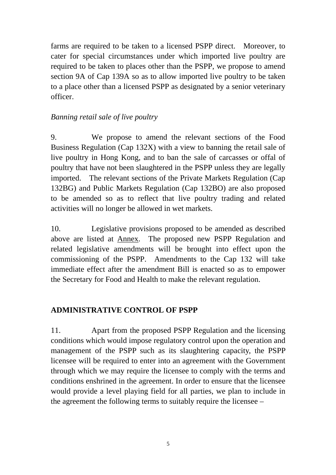farms are required to be taken to a licensed PSPP direct. Moreover, to cater for special circumstances under which imported live poultry are required to be taken to places other than the PSPP, we propose to amend section 9A of Cap 139A so as to allow imported live poultry to be taken to a place other than a licensed PSPP as designated by a senior veterinary officer.

## *Banning retail sale of live poultry*

9. We propose to amend the relevant sections of the Food Business Regulation (Cap 132X) with a view to banning the retail sale of live poultry in Hong Kong, and to ban the sale of carcasses or offal of poultry that have not been slaughtered in the PSPP unless they are legally imported. The relevant sections of the Private Markets Regulation (Cap 132BG) and Public Markets Regulation (Cap 132BO) are also proposed to be amended so as to reflect that live poultry trading and related activities will no longer be allowed in wet markets.

10. Legislative provisions proposed to be amended as described above are listed at Annex. The proposed new PSPP Regulation and related legislative amendments will be brought into effect upon the commissioning of the PSPP. Amendments to the Cap 132 will take immediate effect after the amendment Bill is enacted so as to empower the Secretary for Food and Health to make the relevant regulation.

# **ADMINISTRATIVE CONTROL OF PSPP**

11. Apart from the proposed PSPP Regulation and the licensing conditions which would impose regulatory control upon the operation and management of the PSPP such as its slaughtering capacity, the PSPP licensee will be required to enter into an agreement with the Government through which we may require the licensee to comply with the terms and conditions enshrined in the agreement. In order to ensure that the licensee would provide a level playing field for all parties, we plan to include in the agreement the following terms to suitably require the licensee –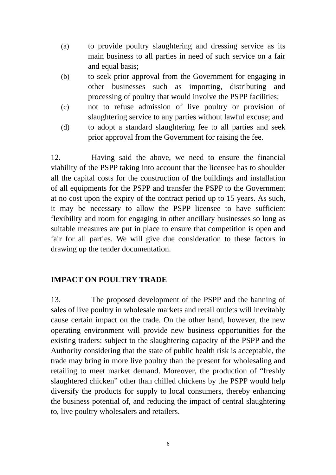- (a) to provide poultry slaughtering and dressing service as its main business to all parties in need of such service on a fair and equal basis;
- (b) to seek prior approval from the Government for engaging in other businesses such as importing, distributing and processing of poultry that would involve the PSPP facilities;
- (c) not to refuse admission of live poultry or provision of slaughtering service to any parties without lawful excuse; and
- (d) to adopt a standard slaughtering fee to all parties and seek prior approval from the Government for raising the fee.

12. Having said the above, we need to ensure the financial viability of the PSPP taking into account that the licensee has to shoulder all the capital costs for the construction of the buildings and installation of all equipments for the PSPP and transfer the PSPP to the Government at no cost upon the expiry of the contract period up to 15 years. As such, it may be necessary to allow the PSPP licensee to have sufficient flexibility and room for engaging in other ancillary businesses so long as suitable measures are put in place to ensure that competition is open and fair for all parties. We will give due consideration to these factors in drawing up the tender documentation.

### **IMPACT ON POULTRY TRADE**

13. The proposed development of the PSPP and the banning of sales of live poultry in wholesale markets and retail outlets will inevitably cause certain impact on the trade. On the other hand, however, the new operating environment will provide new business opportunities for the existing traders: subject to the slaughtering capacity of the PSPP and the Authority considering that the state of public health risk is acceptable, the trade may bring in more live poultry than the present for wholesaling and retailing to meet market demand. Moreover, the production of "freshly slaughtered chicken" other than chilled chickens by the PSPP would help diversify the products for supply to local consumers, thereby enhancing the business potential of, and reducing the impact of central slaughtering to, live poultry wholesalers and retailers.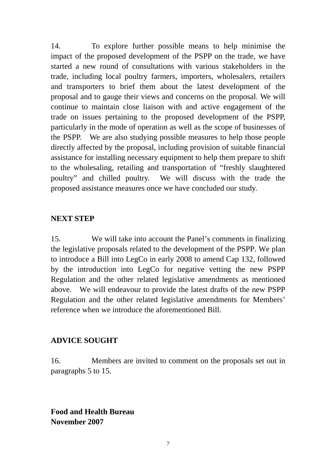14. To explore further possible means to help minimise the impact of the proposed development of the PSPP on the trade, we have started a new round of consultations with various stakeholders in the trade, including local poultry farmers, importers, wholesalers, retailers and transporters to brief them about the latest development of the proposal and to gauge their views and concerns on the proposal. We will continue to maintain close liaison with and active engagement of the trade on issues pertaining to the proposed development of the PSPP, particularly in the mode of operation as well as the scope of businesses of the PSPP. We are also studying possible measures to help those people directly affected by the proposal, including provision of suitable financial assistance for installing necessary equipment to help them prepare to shift to the wholesaling, retailing and transportation of "freshly slaughtered poultry" and chilled poultry. We will discuss with the trade the proposed assistance measures once we have concluded our study.

#### **NEXT STEP**

15. We will take into account the Panel's comments in finalizing the legislative proposals related to the development of the PSPP. We plan to introduce a Bill into LegCo in early 2008 to amend Cap 132, followed by the introduction into LegCo for negative vetting the new PSPP Regulation and the other related legislative amendments as mentioned above. We will endeavour to provide the latest drafts of the new PSPP Regulation and the other related legislative amendments for Members' reference when we introduce the aforementioned Bill.

#### **ADVICE SOUGHT**

16. Members are invited to comment on the proposals set out in paragraphs 5 to 15.

**Food and Health Bureau November 2007**